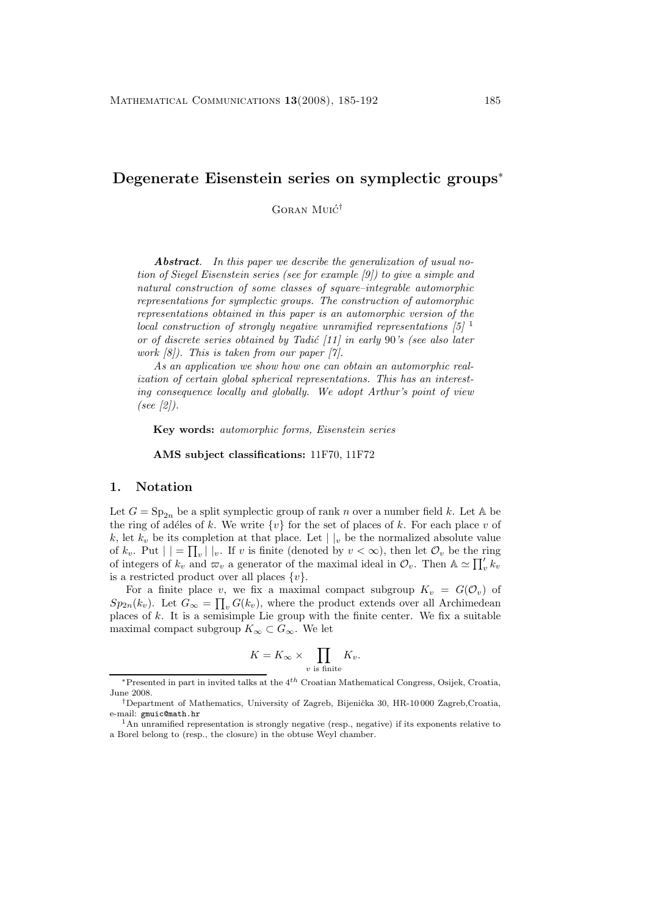# **Degenerate Eisenstein series on symplectic groups**<sup>∗</sup>

GORAN MUIC<sup>†</sup>

*Abstract. In this paper we describe the generalization of usual notion of Siegel Eisenstein series (see for example [9]) to give a simple and natural construction of some classes of square–integrable automorphic representations for symplectic groups. The construction of automorphic representations obtained in this paper is an automorphic version of the local construction of strongly negative unramified representations [5]* <sup>1</sup> *or of discrete series obtained by Tadi´c [11] in early* 90*'s (see also later work [8]). This is taken from our paper [7].*

*As an application we show how one can obtain an automorphic realization of certain global spherical representations. This has an interesting consequence locally and globally. We adopt Arthur's point of view (see [2]).*

**Key words:** *automorphic forms, Eisenstein series*

**AMS subject classifications:** 11F70, 11F72

### **1. Notation**

Let  $G = \text{Sp}_{2n}$  be a split symplectic group of rank n over a number field k. Let A be the ring of adéles of k. We write  $\{v\}$  for the set of places of k. For each place v of k, let  $k_v$  be its completion at that place. Let  $||_v$  be the normalized absolute value of  $k_v$ . Put  $| \cdot | = \prod_v | \cdot |_v$ . If v is finite (denoted by  $v < \infty$ ), then let  $\mathcal{O}_v$  be the ring of integers of  $k_v$  and  $\overline{\omega}_v$  a generator of the maximal ideal in  $\mathcal{O}_v$ . Then  $\mathbb{A} \simeq \prod_v' k_v$ is a restricted product over all places  $\{v\}.$ 

For a finite place v, we fix a maximal compact subgroup  $K_v = G(\mathcal{O}_v)$  of  $Sp_{2n}(k_v)$ . Let  $G_{\infty} = \prod_v G(k_v)$ , where the product extends over all Archimedean places of  $k$ . It is a semisimple Lie group with the finite center. We fix a suitable maximal compact subgroup  $K_{\infty} \subset G_{\infty}$ . We let

$$
K = K_{\infty} \times \prod_{v \text{ is finite}} K_v.
$$

<sup>∗</sup>Presented in part in invited talks at the 4*th* Croatian Mathematical Congress, Osijek, Croatia, June 2008.

<sup>&</sup>lt;sup>†</sup>Department of Mathematics, University of Zagreb, Bijenička 30, HR-10 000 Zagreb,Croatia, e-mail: gmuic@math.hr <sup>1</sup>An unramified representation is strongly negative (resp., negative) if its exponents relative to

a Borel belong to (resp., the closure) in the obtuse Weyl chamber.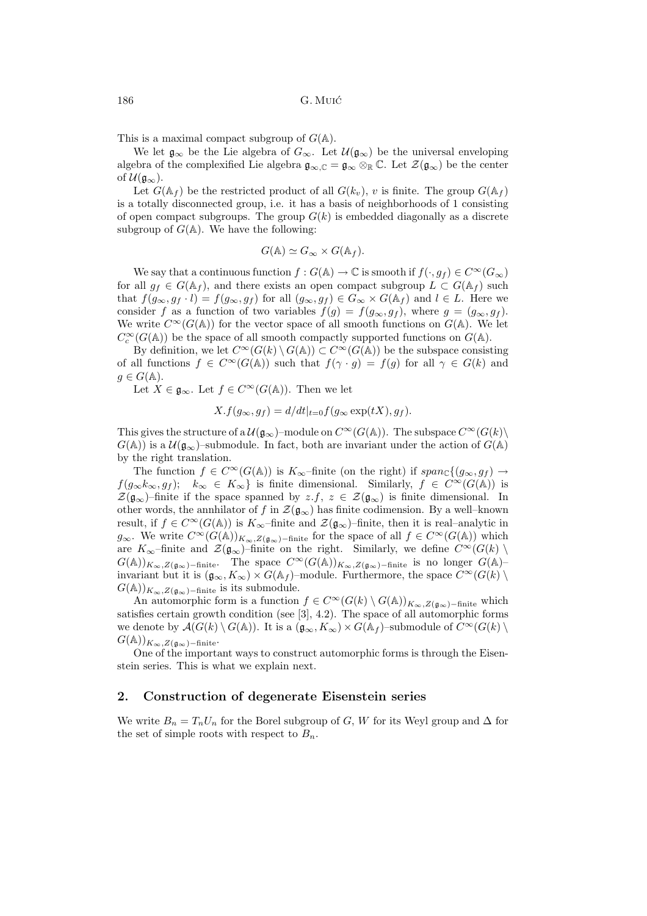This is a maximal compact subgroup of  $G(\mathbb{A})$ .

We let  $\mathfrak{g}_{\infty}$  be the Lie algebra of  $G_{\infty}$ . Let  $\mathcal{U}(\mathfrak{g}_{\infty})$  be the universal enveloping algebra of the complexified Lie algebra  $\mathfrak{g}_{\infty,\mathbb{C}} = \mathfrak{g}_{\infty} \otimes_{\mathbb{R}} \mathbb{C}$ . Let  $\mathcal{Z}(\mathfrak{g}_{\infty})$  be the center of  $\mathcal{U}(\mathfrak{g}_{\infty}).$ 

Let  $G(\mathbb{A}_f)$  be the restricted product of all  $G(k_v)$ , v is finite. The group  $G(\mathbb{A}_f)$ is a totally disconnected group, i.e. it has a basis of neighborhoods of 1 consisting of open compact subgroups. The group  $G(k)$  is embedded diagonally as a discrete subgroup of  $G(A)$ . We have the following:

$$
G(\mathbb{A}) \simeq G_{\infty} \times G(\mathbb{A}_f).
$$

We say that a continuous function  $f: G(\mathbb{A}) \to \mathbb{C}$  is smooth if  $f(\cdot, g_f) \in C^\infty(G_\infty)$ for all  $g_f \in G(\mathbb{A}_f)$ , and there exists an open compact subgroup  $L \subset G(\mathbb{A}_f)$  such that  $f(g_{\infty}, g_f \cdot l) = f(g_{\infty}, g_f)$  for all  $(g_{\infty}, g_f) \in G_{\infty} \times G(\mathbb{A}_f)$  and  $l \in L$ . Here we consider f as a function of two variables  $f(g) = f(g_{\infty}, g_f)$ , where  $g = (g_{\infty}, g_f)$ . We write  $C^{\infty}(G(\mathbb{A}))$  for the vector space of all smooth functions on  $G(\mathbb{A})$ . We let  $C_c^\infty(G({\mathbb A}))$  be the space of all smooth compactly supported functions on  $G({\mathbb A}).$ 

By definition, we let  $C^{\infty}(G(k) \setminus G(\mathbb{A})) \subset C^{\infty}(G(\mathbb{A}))$  be the subspace consisting of all functions  $f \in C^{\infty}(G(\mathbb{A}))$  such that  $f(\gamma \cdot g) = f(g)$  for all  $\gamma \in G(k)$  and  $g \in G(\mathbb{A}).$ 

Let  $X \in \mathfrak{g}_{\infty}$ . Let  $f \in C^{\infty}(G(\mathbb{A}))$ . Then we let

$$
X.f(g_{\infty}, g_f) = d/dt|_{t=0} f(g_{\infty} \exp(tX), g_f).
$$

This gives the structure of a  $\mathcal{U}(\mathfrak{g}_{\infty})$ –module on  $C^{\infty}(G(\mathbb{A}))$ . The subspace  $C^{\infty}(G(k))$  $G(\mathbb{A}))$  is a  $\mathcal{U}(\mathfrak{g}_{\infty})$ -submodule. In fact, both are invariant under the action of  $G(\mathbb{A})$ by the right translation.

The function  $f \in C^{\infty}(G(\mathbb{A}))$  is  $K_{\infty}$ -finite (on the right) if  $span_{\mathbb{C}}\{(g_{\infty}, g_f) \to$  $f(g_{\infty}k_{\infty}, g_f); k_{\infty} \in K_{\infty}$  is finite dimensional. Similarly,  $f \in C^{\infty}(G(\mathbb{A}))$  is  $\mathcal{Z}(\mathfrak{g}_{\infty})$ –finite if the space spanned by  $z.f, z \in \mathcal{Z}(\mathfrak{g}_{\infty})$  is finite dimensional. In other words, the annhilator of f in  $\mathcal{Z}(\mathfrak{g}_{\infty})$  has finite codimension. By a well–known result, if  $f \in C^{\infty}(G(\mathbb{A}))$  is  $K_{\infty}$ -finite and  $\mathcal{Z}(\mathfrak{g}_{\infty})$ -finite, then it is real-analytic in  $g_{\infty}$ . We write  $C^{\infty}(G(\mathbb{A}))_{K_{\infty},Z(g_{\infty})-\text{finite}}$  for the space of all  $f \in C^{\infty}(G(\mathbb{A}))$  which are  $K_{\infty}$ –finite and  $\mathcal{Z}(\mathfrak{g}_{\infty})$ –finite on the right. Similarly, we define  $C^{\infty}(G(k))$ <br> $G(k)$  $G(A))_{K_{\infty},Z(\mathfrak{g}_{\infty})-\text{finite}}$ . The space  $C^{\infty}(G(A))_{K_{\infty},Z(\mathfrak{g}_{\infty})-\text{finite}}$  is no longer  $G(A)$ –<br>invariant but it is  $(X, Y) \times G(A)$  module. European the grace  $G^{\infty}(G(A))$ invariant but it is  $(\mathfrak{g}_{\infty}, K_{\infty}) \times G(\mathbb{A}_f)$ –module. Furthermore, the space  $C^{\infty}(G(k) \setminus G(\mathbb{A}))$  $G(\mathbb{A}))_{K_{\infty}, Z(\mathfrak{g}_{\infty})-\text{finite}}$  is its submodule.

An automorphic form is a function  $f \in C^{\infty}(G(k) \setminus G(\mathbb{A}))_{K_{\infty}, Z(\mathfrak{g}_{\infty})-\text{finite}}$  which satisfies certain growth condition (see [3], 4.2). The space of all automorphic forms we denote by  $\mathcal{A}(G(k) \setminus G(\mathbb{A}))$ . It is a  $(\mathfrak{g}_{\infty}, K_{\infty}) \times G(\mathbb{A}_f)$ –submodule of  $C^{\infty}(G(k) \setminus$  $G(\mathbb{A}))_{K_{\infty},Z(\mathfrak{g}_{\infty})-\text{finite}}$ .

One of the important ways to construct automorphic forms is through the Eisenstein series. This is what we explain next.

### **2. Construction of degenerate Eisenstein series**

We write  $B_n = T_n U_n$  for the Borel subgroup of G, W for its Weyl group and  $\Delta$  for the set of simple roots with respect to  $B_n$ .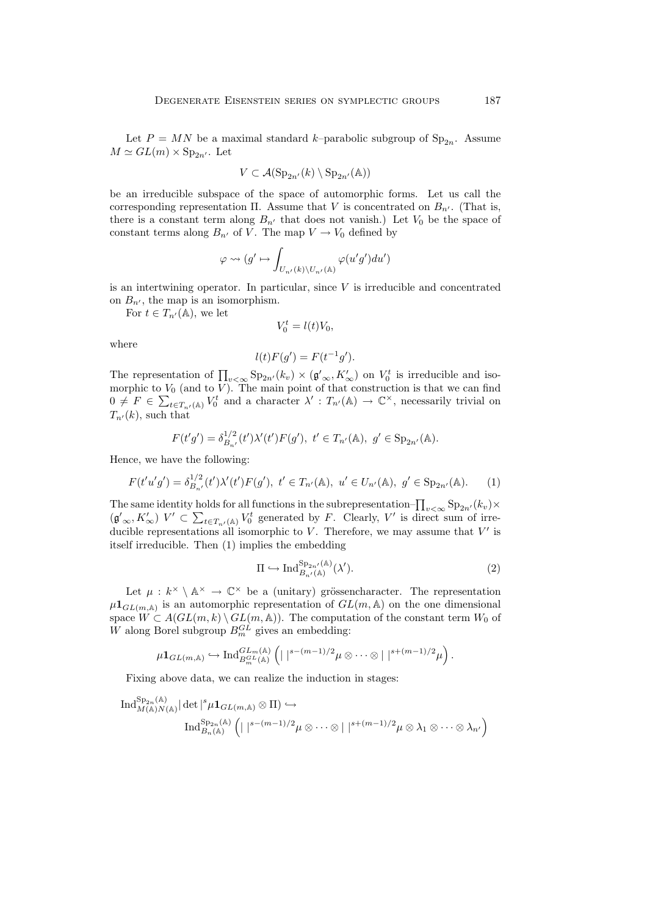Let  $P = MN$  be a maximal standard k–parabolic subgroup of  $Sp_{2n}$ . Assume  $M \simeq GL(m) \times Sp_{2n'}$ . Let

$$
V \subset \mathcal{A}(\mathrm{Sp}_{2n'}(k) \setminus \mathrm{Sp}_{2n'}(\mathbb{A}))
$$

be an irreducible subspace of the space of automorphic forms. Let us call the corresponding representation  $\Pi$ . Assume that V is concentrated on  $B_{n'}$ . (That is, there is a constant term along  $B_{n'}$  that does not vanish.) Let  $V_0$  be the space of constant terms along  $B_{n'}$  of V. The map  $V \to V_0$  defined by

$$
\varphi \leadsto (g' \mapsto \int_{U_{n'}(k)\backslash U_{n'}(\mathbb{A})} \varphi(u'g')du')
$$

is an intertwining operator. In particular, since  $V$  is irreducible and concentrated on  $B_{n'}$ , the map is an isomorphism.

For  $t \in T_{n'}(\mathbb{A})$ , we let

$$
V_0^t = l(t)V_0,
$$

where

$$
l(t)F(g') = F(t^{-1}g').
$$

The representation of  $\prod_{v < \infty} \text{Sp}_{2n'}(k_v) \times (\mathfrak{g}'_{\infty}, K'_{\infty})$  on  $V_0^t$  is irreducible and iso-<br>morphic to  $V_0$  (and to  $V$ ). The main point of that construction is that we can find morphic to  $V_0$  (and to V). The main point of that construction is that we can find  $0 \neq F \in \sum_{t \in T_{n'}(\mathbb{A})} V_0^t$  and a character  $\lambda' : T_{n'}(\mathbb{A}) \to \mathbb{C}^\times$ , necessarily trivial on  $T_{n'}(k)$ , such that

$$
F(t'g') = \delta_{B_{n'}}^{1/2}(t')\lambda'(t')F(g'),\ t' \in T_{n'}(\mathbb{A}),\ g' \in \mathrm{Sp}_{2n'}(\mathbb{A}).
$$

Hence, we have the following:

$$
F(t'u'g') = \delta_{B_{n'}}^{1/2}(t')\lambda'(t')F(g'), \ t' \in T_{n'}(\mathbb{A}), \ u' \in U_{n'}(\mathbb{A}), \ g' \in \mathrm{Sp}_{2n'}(\mathbb{A}). \tag{1}
$$

The same identity holds for all functions in the subrepresentation– $\prod_{v<\infty} \text{Sp}_{2n'}(k_v) \times$  $(\mathfrak{g}'_{\infty}, K'_{\infty})$   $V' \subset \sum_{t \in T_{n'}(\mathbb{A})} V_0^t$  generated by F. Clearly,  $V'$  is direct sum of irreducible representations all isomorphic to  $V$ . Therefore, we may assume that  $V'$  is itself irreducible. Then (1) implies the embedding

$$
\Pi \hookrightarrow \mathrm{Ind}_{B_{n'}(\mathbb{A})}^{\mathrm{Sp}_{2n'}(\mathbb{A})}(\lambda'). \tag{2}
$$

Let  $\mu : k^{\times} \setminus \mathbb{A}^{\times} \to \mathbb{C}^{\times}$  be a (unitary) grössencharacter. The representation  $\mu 1_{GL(m,\mathbb{A})}$  is an automorphic representation of  $GL(m,\mathbb{A})$  on the one dimensional space  $W \subset A(GL(m,k) \setminus GL(m,\mathbb{A}))$ . The computation of the constant term  $W_0$  of W along Borel subgroup  $B_m^{GL}$  gives an embedding:

$$
\mu \mathbf{1}_{GL(m,\mathbb{A})} \hookrightarrow \mathrm{Ind}_{B_m^{GL}(\mathbb{A})}^{GL_m(\mathbb{A})} \left( | \ |^{s-(m-1)/2} \mu \otimes \cdots \otimes | \ |^{s+(m-1)/2} \mu \right).
$$

Fixing above data, we can realize the induction in stages:

$$
\operatorname{Ind}_{M(\mathbb{A})N(\mathbb{A})}^{\operatorname{Sp}_{2n}(\mathbb{A})} |\det|^s \mu 1_{GL(m,\mathbb{A})} \otimes \Pi) \hookrightarrow
$$

$$
\operatorname{Ind}_{B_n(\mathbb{A})}^{\operatorname{Sp}_{2n}(\mathbb{A})} \left( | \ |^{s-(m-1)/2} \mu \otimes \cdots \otimes | \ |^{s+(m-1)/2} \mu \otimes \lambda_1 \otimes \cdots \otimes \lambda_{n'} \right)
$$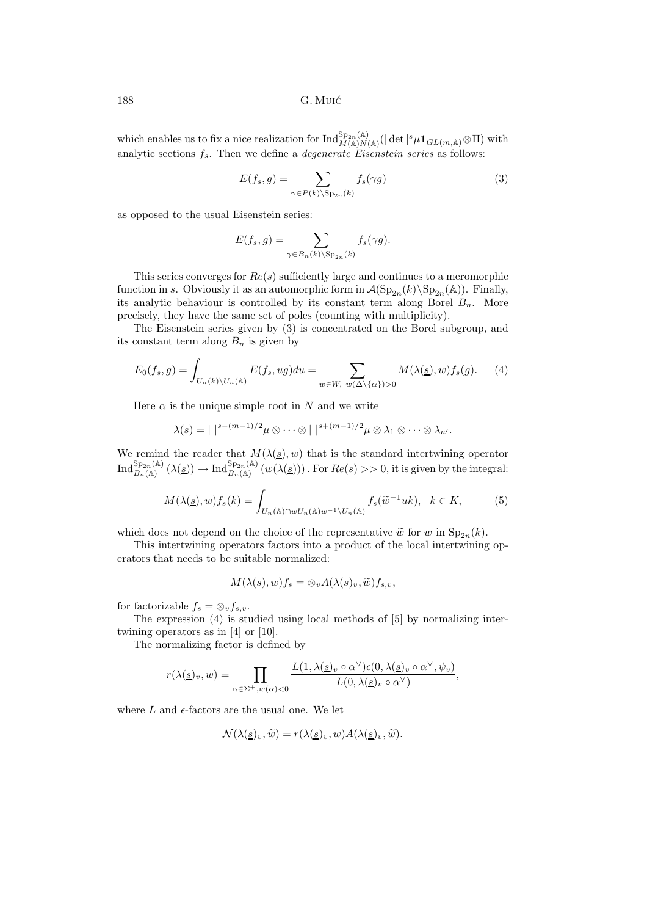188 G. Muic´

which enables us to fix a nice realization for  $\text{Ind}_{M(\mathbb{A})N(\mathbb{A})}^{\text{Sp}_{2n}(\mathbb{A})}(|\det|^s\mu 1_{GL(m,\mathbb{A})}\otimes\Pi)$  with analytic sections  $f_s$ . Then we define a *degenerate Eisenstein series* as follows:

$$
E(f_s, g) = \sum_{\gamma \in P(k) \backslash \text{Sp}_{2n}(k)} f_s(\gamma g) \tag{3}
$$

as opposed to the usual Eisenstein series:

$$
E(f_s, g) = \sum_{\gamma \in B_n(k) \backslash \text{Sp}_{2n}(k)} f_s(\gamma g).
$$

This series converges for  $Re(s)$  sufficiently large and continues to a meromorphic function in s. Obviously it as an automorphic form in  $\mathcal{A}(\mathrm{Sp}_{2n}(k)\backslash \mathrm{Sp}_{2n}(\mathbb{A}))$ . Finally, its analytic behaviour is controlled by its constant term along Borel  $B_n$ . More precisely, they have the same set of poles (counting with multiplicity).

The Eisenstein series given by (3) is concentrated on the Borel subgroup, and its constant term along  $B_n$  is given by

$$
E_0(f_s, g) = \int_{U_n(k)\backslash U_n(\mathbb{A})} E(f_s, ug) du = \sum_{w \in W, w(\Delta \backslash {\alpha}) > 0} M(\lambda(\underline{s}), w) f_s(g).
$$
 (4)

Here  $\alpha$  is the unique simple root in N and we write

$$
\lambda(s) = | \; |^{s-(m-1)/2} \mu \otimes \cdots \otimes | \; |^{s+(m-1)/2} \mu \otimes \lambda_1 \otimes \cdots \otimes \lambda_n.
$$

We remind the reader that  $M(\lambda(\underline{s}), w)$  that is the standard intertwining operator  $\text{Ind}_{B_n(\mathbb{A})}^{\text{Sp}_{2n}(\mathbb{A})}(\lambda(\underline{s})) \to \text{Ind}_{B_n(\mathbb{A})}^{\text{Sp}_{2n}(\mathbb{A})}(w(\lambda(\underline{s})))$ . For  $Re(s) >> 0$ , it is given by the integral:

$$
M(\lambda(\underline{s}), w)f_s(k) = \int_{U_n(\mathbb{A}) \cap wU_n(\mathbb{A})w^{-1} \backslash U_n(\mathbb{A})} f_s(\widetilde{w}^{-1}uk), \quad k \in K,
$$
 (5)

which does not depend on the choice of the representative  $\tilde{w}$  for w in  $\text{Sp}_{2n}(k)$ .

This intertwining operators factors into a product of the local intertwining operators that needs to be suitable normalized:

$$
M(\lambda(\underline{s}), w)f_s = \otimes_v A(\lambda(\underline{s})_v, \widetilde{w})f_{s,v},
$$

for factorizable  $f_s = \otimes_v f_{s,v}$ .

The expression (4) is studied using local methods of [5] by normalizing intertwining operators as in [4] or [10].

The normalizing factor is defined by

$$
r(\lambda(\underline{s})_v, w) = \prod_{\alpha \in \Sigma^+, w(\alpha) < 0} \frac{L(1, \lambda(\underline{s})_v \circ \alpha^\vee) \epsilon(0, \lambda(\underline{s})_v \circ \alpha^\vee, \psi_v)}{L(0, \lambda(\underline{s})_v \circ \alpha^\vee)},
$$

where  $L$  and  $\epsilon$ -factors are the usual one. We let

$$
\mathcal{N}(\lambda(\underline{s})_v, \widetilde{w}) = r(\lambda(\underline{s})_v, w) A(\lambda(\underline{s})_v, \widetilde{w}).
$$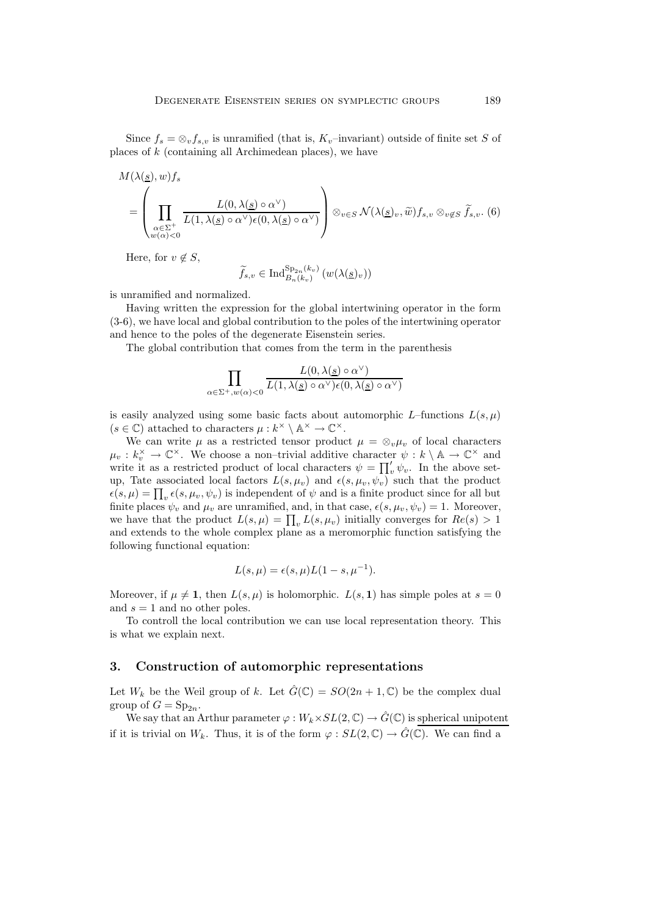Since  $f_s = \otimes_v f_{s,v}$  is unramified (that is,  $K_v$ –invariant) outside of finite set S of places of k (containing all Archimedean places), we have

$$
M(\lambda(\underline{s}), w) f_s
$$
  
= 
$$
\left(\prod_{\substack{\alpha \in \Sigma^+ \\ w(\alpha) < 0}} \frac{L(0, \lambda(\underline{s}) \circ \alpha^{\vee})}{L(1, \lambda(\underline{s}) \circ \alpha^{\vee}) \epsilon(0, \lambda(\underline{s}) \circ \alpha^{\vee})}\right) \otimes_{v \in S} \mathcal{N}(\lambda(\underline{s})_v, \widetilde{w}) f_{s,v} \otimes_{v \notin S} \widetilde{f}_{s,v}. (6)
$$

Here, for  $v \notin S$ ,

$$
\widetilde{f}_{s,v} \in \mathrm{Ind}_{B_n(k_v)}^{\mathrm{Sp}_{2n}(k_v)}\left(w(\lambda(\underline{s})_v)\right)
$$

is unramified and normalized.

Having written the expression for the global intertwining operator in the form (3-6), we have local and global contribution to the poles of the intertwining operator and hence to the poles of the degenerate Eisenstein series.

The global contribution that comes from the term in the parenthesis

$$
\prod_{\alpha \in \Sigma^{+}, w(\alpha) < 0} \frac{L(0, \lambda(\underline{s}) \circ \alpha^{\vee})}{L(1, \lambda(\underline{s}) \circ \alpha^{\vee}) \epsilon(0, \lambda(\underline{s}) \circ \alpha^{\vee})}
$$

is easily analyzed using some basic facts about automorphic  $L$ –functions  $L(s, u)$  $(s \in \mathbb{C})$  attached to characters  $\mu : k^{\times} \setminus \mathbb{A}^{\times} \to \mathbb{C}^{\times}$ .

We can write  $\mu$  as a restricted tensor product  $\mu = \otimes_v \mu_v$  of local characters  $\mu_v : k_v^{\times} \to \mathbb{C}^{\times}$ . We choose a non-trivial additive character  $\psi : k \setminus \mathbb{A} \to \mathbb{C}^{\times}$  and write it as a restricted product of local characters  $\psi = \prod'_v \psi_v$ . In the above setup, Tate associated local factors  $L(s, \mu_v)$  and  $\epsilon(s, \mu_v, \psi_v)$  such that the product  $\epsilon(s,\mu) = \prod_{v} \epsilon(s,\mu_v,\psi_v)$  is independent of  $\psi$  and is a finite product since for all but finite places  $\psi_v$  and  $\mu_v$  are unramified, and, in that case,  $\epsilon(s, \mu_v, \psi_v) = 1$ . Moreover, we have that the product  $L(s, \mu) = \prod_{v} L(s, \mu_v)$  initially converges for  $Re(s) > 1$ and extends to the whole complex plane as a meromorphic function satisfying the following functional equation:

$$
L(s, \mu) = \epsilon(s, \mu)L(1-s, \mu^{-1}).
$$

Moreover, if  $\mu \neq 1$ , then  $L(s, \mu)$  is holomorphic.  $L(s, 1)$  has simple poles at  $s = 0$ and  $s = 1$  and no other poles.

To controll the local contribution we can use local representation theory. This is what we explain next.

## **3. Construction of automorphic representations**

Let  $W_k$  be the Weil group of k. Let  $\hat{G}(\mathbb{C}) = SO(2n + 1, \mathbb{C})$  be the complex dual group of  $G = \mathrm{Sp}_{2n}$ .

We say that an Arthur parameter  $\varphi: W_k \times SL(2, \mathbb{C}) \to \hat{G}(\mathbb{C})$  is spherical unipotent if it is trivial on  $W_k$ . Thus, it is of the form  $\varphi : SL(2,\mathbb{C}) \to \hat{G}(\mathbb{C})$ . We can find a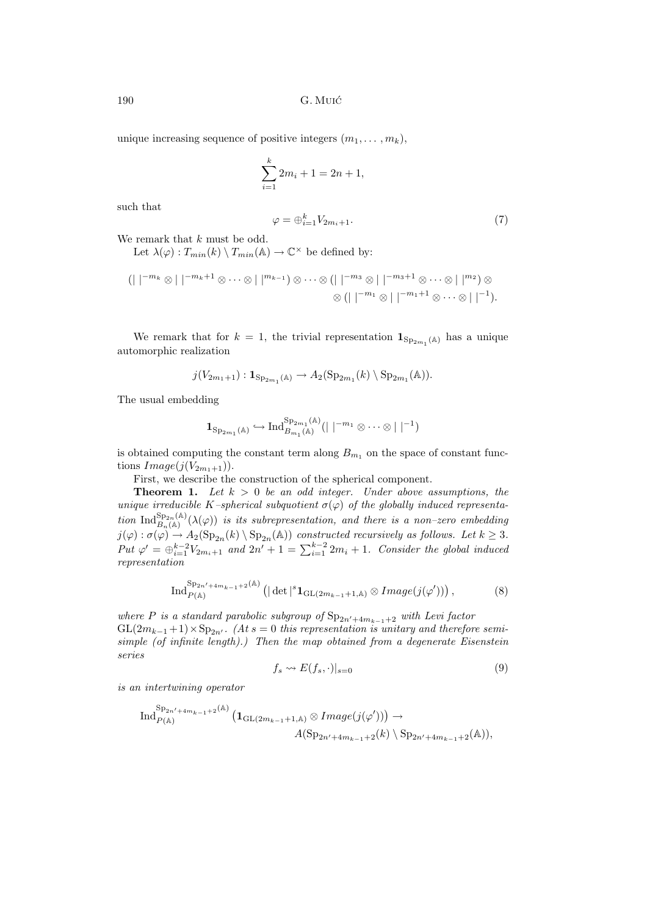190 G. Muic´

unique increasing sequence of positive integers  $(m_1, \ldots, m_k)$ ,

$$
\sum_{i=1}^{k} 2m_i + 1 = 2n + 1,
$$

such that

$$
\varphi = \oplus_{i=1}^k V_{2m_i+1}.\tag{7}
$$

We remark that k must be odd.

Let  $\lambda(\varphi) : T_{min}(k) \setminus T_{min}(\mathbb{A}) \to \mathbb{C}^{\times}$  be defined by:

$$
(| |^{-m_k} \otimes | |^{-m_k+1} \otimes \cdots \otimes | |^{m_{k-1}}) \otimes \cdots \otimes (| |^{-m_3} \otimes | |^{-m_3+1} \otimes \cdots \otimes | |^{m_2}) \otimes
$$
  

$$
\otimes (| |^{-m_1} \otimes | |^{-m_1+1} \otimes \cdots \otimes | |^{-1}).
$$

We remark that for  $k = 1$ , the trivial representation  $\mathbf{1}_{\text{Sp}_{2m_1}(\mathbb{A})}$  has a unique automorphic realization

$$
j(V_{2m_1+1}): \mathbf{1}_{\mathrm{Sp}_{2m_1}(\mathbb{A})} \to A_2(\mathrm{Sp}_{2m_1}(k) \setminus \mathrm{Sp}_{2m_1}(\mathbb{A})).
$$

The usual embedding

$$
\mathbf{1}_{\mathrm{Sp}_{2m_1}(\mathbb{A})} \hookrightarrow \mathrm{Ind}_{B_{m_1}(\mathbb{A})}^{\mathrm{Sp}_{2m_1}(\mathbb{A})} (|\;|^{-m_1} \otimes \cdots \otimes |\;|^{-1})
$$

is obtained computing the constant term along  $B_{m_1}$  on the space of constant functions  $Image(j(V_{2m_1+1}))$ .

First, we describe the construction of the spherical component.

**Theorem 1.** Let  $k > 0$  be an odd integer. Under above assumptions, the *unique irreducible* K-spherical subquotient  $\sigma(\varphi)$  of the globally induced representa- $\text{tion Ind}_{B_n(\mathbb{A})}^{Sp_{2n}(\mathbb{A})}(\lambda(\varphi))$  *is its subrepresentation, and there is a non–zero embedding*  $j(\varphi): \sigma(\varphi) \to A_2(\mathrm{Sp}_{2n}(k) \setminus \mathrm{Sp}_{2n}(\mathbb{A}))$  *constructed recursively as follows. Let*  $k \geq 3$ *. Put*  $\varphi' = \bigoplus_{i=1}^{k-2} V_{2m_i+1}$  and  $2n' + 1 = \sum_{i=1}^{k-2} 2m_i + 1$ *. Consider the global induced representation*

$$
\operatorname{Ind}_{P(\mathbb{A})}^{\operatorname{Sp}_{2n'+4m_{k-1}+2}(\mathbb{A})} \left( |\det|^s \mathbf{1}_{\operatorname{GL}(2m_{k-1}+1,\mathbb{A})} \otimes \operatorname{Image}(j(\varphi')) \right),\tag{8}
$$

*where* P *is a standard parabolic subgroup of*  $Sp_{2n'+4m_{k-1}+2}$  *with Levi factor*  $GL(2m_{k-1}+1) \times Sp_{2n'}$ . (At  $s=0$  this representation is unitary and therefore semi*simple (of infinite length).) Then the map obtained from a degenerate Eisenstein series*

$$
f_s \leadsto E(f_s, \cdot)|_{s=0} \tag{9}
$$

*is an intertwining operator*

$$
\operatorname{Ind}_{P(\mathbb{A})}^{\operatorname{Sp}_{2n'+4m_{k-1}+2}(\mathbb{A})}\left(\mathbf{1}_{\operatorname{GL}(2m_{k-1}+1,\mathbb{A})}\otimes\operatorname{Image}(j(\varphi'))\right)\to\\\hspace{2.5cm}A(\operatorname{Sp}_{2n'+4m_{k-1}+2}(k)\setminus\operatorname{Sp}_{2n'+4m_{k-1}+2}(\mathbb{A})),
$$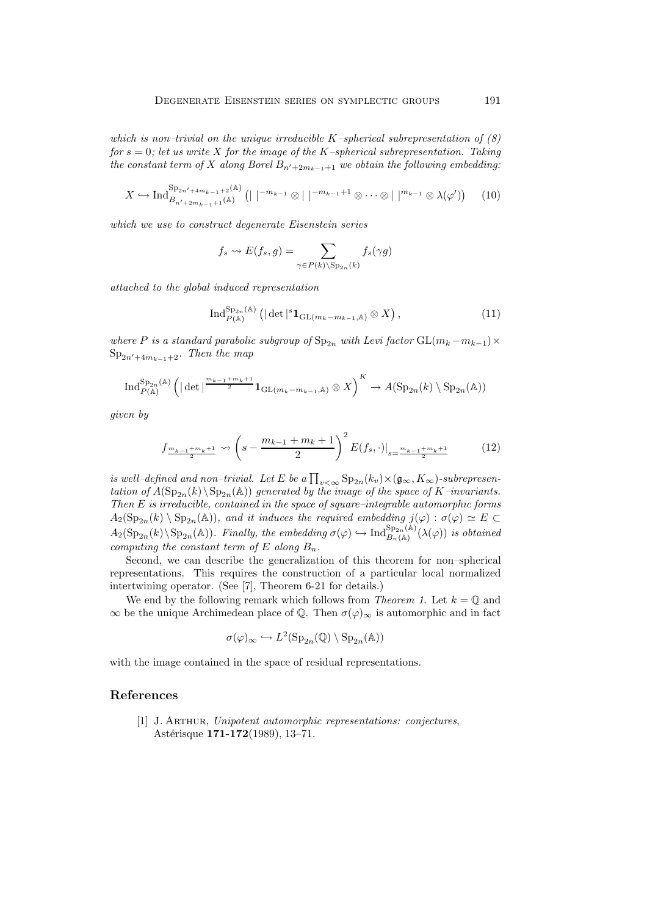*which is non–trivial on the unique irreducible* K*–spherical subrepresentation of (8) for* s = 0*; let us write* X *for the image of the* K*–spherical subrepresentation. Taking*  $the constant term of X along Borel B<sub>n'+2m<sub>k-1</sub>+1</sub> we obtain the following embedding:$ 

$$
X \hookrightarrow \operatorname{Ind}_{B_{n'+2m_{k-1}+1}(\mathbb{A})}^{\operatorname{Sp}_{2n'+4m_{k-1}+2}(\mathbb{A})} \left( \mid \mid^{-m_{k-1}} \otimes \mid \mid^{-m_{k-1}+1} \otimes \cdots \otimes \mid \mid^{m_{k-1}} \otimes \lambda(\varphi') \right) \tag{10}
$$

*which we use to construct degenerate Eisenstein series*

$$
f_s \rightsquigarrow E(f_s, g) = \sum_{\gamma \in P(k) \backslash \text{Sp}_{2n}(k)} f_s(\gamma g)
$$

*attached to the global induced representation*

$$
\operatorname{Ind}_{P(\mathbb{A})}^{\operatorname{Sp}_{2n}(\mathbb{A})} \left( |\det|^s \mathbf{1}_{\operatorname{GL}(m_k - m_{k-1}, \mathbb{A})} \otimes X \right),\tag{11}
$$

*where* P *is a standard parabolic subgroup of*  $Sp_{2n}$  *with Levi factor*  $GL(m_k - m_{k-1}) \times$ Sp2n-+4m*k*−1+2*. Then the map*

$$
\operatorname{Ind}_{P(\mathbb{A})}^{\operatorname{Sp}_{2n}(\mathbb{A})} \left( |\det|^{\frac{m_{k-1}+m_k+1}{2}} 1_{\operatorname{GL}(m_k-m_{k-1},\mathbb{A})} \otimes X \right)^K \to A(\operatorname{Sp}_{2n}(k) \setminus \operatorname{Sp}_{2n}(\mathbb{A}))
$$

*given by*

$$
f_{\frac{m_{k-1}+m_k+1}{2}} \leadsto \left(s - \frac{m_{k-1}+m_k+1}{2}\right)^2 E(f_s, \cdot)|_{s = \frac{m_{k-1}+m_k+1}{2}} \tag{12}
$$

*is well–defined and non–trivial. Let*  $E$  *be a*  $\prod_{v<\infty} \text{Sp}_{2n}(k_v) \times (\mathfrak{g}_{\infty}, K_{\infty})$ -subrepresentation of  $A(\text{Sn}_{\infty}, (k))$  Sp<sub>3</sub> (A)) generated by the image of the space of  $K$ -invariants *tation of*  $A(\mathrm{Sp}_{2n}(k)\setminus \mathrm{Sp}_{2n}(\mathbb{A}))$  generated by the image of the space of K–invariants. *Then* E *is irreducible, contained in the space of square–integrable automorphic forms*  $A_2(\mathrm{Sp}_{2n}(k) \setminus \mathrm{Sp}_{2n}(\mathbb{A}))$ *, and it induces the required embedding*  $j(\varphi) : \sigma(\varphi) \simeq E$  $A_2(\mathrm{Sp}_{2n}(k)\setminus \mathrm{Sp}_{2n}(\mathbb{A}))$ *. Finally, the embedding*  $\sigma(\varphi) \hookrightarrow \mathrm{Ind}_{B_n(\mathbb{A})}^{\mathrm{Sp}_{2n}(\mathbb{A})}(\lambda(\varphi))$  *is obtained computing the constant term of*  $E$  *along*  $B_n$ *.* 

Second, we can describe the generalization of this theorem for non–spherical representations. This requires the construction of a particular local normalized intertwining operator. (See [7], Theorem 6-21 for details.)

We end by the following remark which follows from *Theorem 1*. Let  $k = \mathbb{Q}$  and  $\infty$  be the unique Archimedean place of Q. Then  $\sigma(\varphi)_{\infty}$  is automorphic and in fact

$$
\sigma(\varphi)_{\infty} \hookrightarrow L^2(\mathrm{Sp}_{2n}(\mathbb{Q}) \setminus \mathrm{Sp}_{2n}(\mathbb{A}))
$$

with the image contained in the space of residual representations.

### **References**

[1] J. Arthur, *Unipotent automorphic representations: conjectures*, Astérisque **171-172**(1989), 13-71.